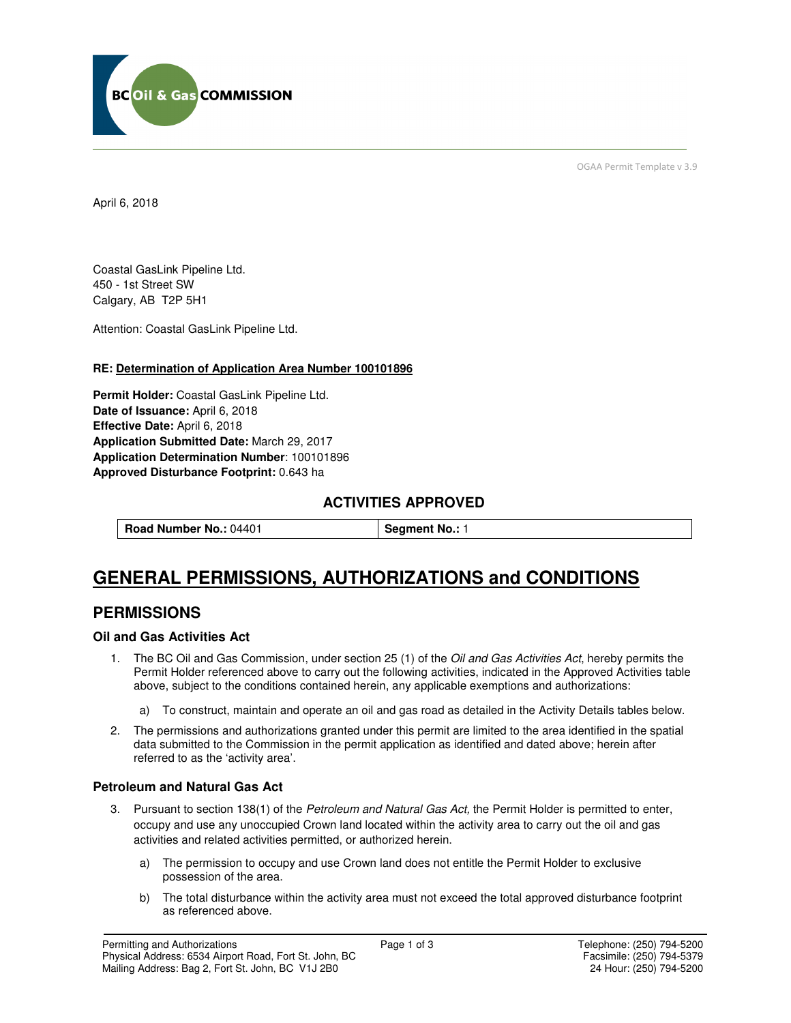

OGAA Permit Template v 3.9

April 6, 2018

Coastal GasLink Pipeline Ltd. 450 - 1st Street SW Calgary, AB T2P 5H1

Attention: Coastal GasLink Pipeline Ltd.

## **RE: Determination of Application Area Number 100101896**

**Permit Holder:** Coastal GasLink Pipeline Ltd. **Date of Issuance:** April 6, 2018 **Effective Date:** April 6, 2018 **Application Submitted Date:** March 29, 2017 **Application Determination Number**: 100101896 **Approved Disturbance Footprint:** 0.643 ha

## **ACTIVITIES APPROVED**

**Road Number No.: 04401 <b>Segment No.: 1** 

# **GENERAL PERMISSIONS, AUTHORIZATIONS and CONDITIONS**

## **PERMISSIONS**

## **Oil and Gas Activities Act**

- 1. The BC Oil and Gas Commission, under section 25 (1) of the Oil and Gas Activities Act, hereby permits the Permit Holder referenced above to carry out the following activities, indicated in the Approved Activities table above, subject to the conditions contained herein, any applicable exemptions and authorizations:
	- a) To construct, maintain and operate an oil and gas road as detailed in the Activity Details tables below.
- 2. The permissions and authorizations granted under this permit are limited to the area identified in the spatial data submitted to the Commission in the permit application as identified and dated above; herein after referred to as the 'activity area'.

#### **Petroleum and Natural Gas Act**

- 3. Pursuant to section 138(1) of the Petroleum and Natural Gas Act, the Permit Holder is permitted to enter, occupy and use any unoccupied Crown land located within the activity area to carry out the oil and gas activities and related activities permitted, or authorized herein.
	- a) The permission to occupy and use Crown land does not entitle the Permit Holder to exclusive possession of the area.
	- b) The total disturbance within the activity area must not exceed the total approved disturbance footprint as referenced above.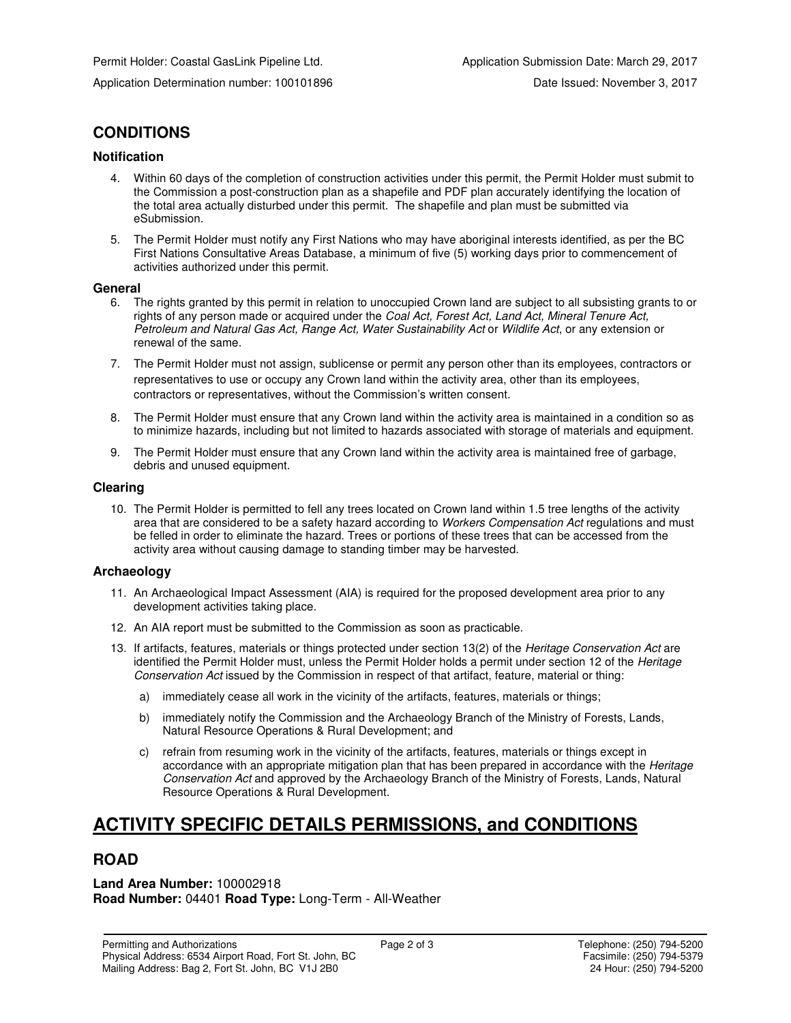## **CONDITIONS**

## **Notification**

- 4. Within 60 days of the completion of construction activities under this permit, the Permit Holder must submit to the Commission a post-construction plan as a shapefile and PDF plan accurately identifying the location of the total area actually disturbed under this permit. The shapefile and plan must be submitted via eSubmission.
- 5. The Permit Holder must notify any First Nations who may have aboriginal interests identified, as per the BC First Nations Consultative Areas Database, a minimum of five (5) working days prior to commencement of activities authorized under this permit.

#### **General**

- 6. The rights granted by this permit in relation to unoccupied Crown land are subject to all subsisting grants to or rights of any person made or acquired under the Coal Act, Forest Act, Land Act, Mineral Tenure Act, Petroleum and Natural Gas Act, Range Act, Water Sustainability Act or Wildlife Act, or any extension or renewal of the same.
- 7. The Permit Holder must not assign, sublicense or permit any person other than its employees, contractors or representatives to use or occupy any Crown land within the activity area, other than its employees, contractors or representatives, without the Commission's written consent.
- 8. The Permit Holder must ensure that any Crown land within the activity area is maintained in a condition so as to minimize hazards, including but not limited to hazards associated with storage of materials and equipment.
- 9. The Permit Holder must ensure that any Crown land within the activity area is maintained free of garbage, debris and unused equipment.

#### **Clearing**

10. The Permit Holder is permitted to fell any trees located on Crown land within 1.5 tree lengths of the activity area that are considered to be a safety hazard according to Workers Compensation Act regulations and must be felled in order to eliminate the hazard. Trees or portions of these trees that can be accessed from the activity area without causing damage to standing timber may be harvested.

## **Archaeology**

- 11. An Archaeological Impact Assessment (AIA) is required for the proposed development area prior to any development activities taking place.
- 12. An AIA report must be submitted to the Commission as soon as practicable.
- 13. If artifacts, features, materials or things protected under section 13(2) of the Heritage Conservation Act are identified the Permit Holder must, unless the Permit Holder holds a permit under section 12 of the Heritage Conservation Act issued by the Commission in respect of that artifact, feature, material or thing:
	- a) immediately cease all work in the vicinity of the artifacts, features, materials or things;
	- b) immediately notify the Commission and the Archaeology Branch of the Ministry of Forests, Lands, Natural Resource Operations & Rural Development; and
	- c) refrain from resuming work in the vicinity of the artifacts, features, materials or things except in accordance with an appropriate mitigation plan that has been prepared in accordance with the Heritage Conservation Act and approved by the Archaeology Branch of the Ministry of Forests, Lands, Natural Resource Operations & Rural Development.

# **ACTIVITY SPECIFIC DETAILS PERMISSIONS, and CONDITIONS**

## **ROAD**

**Land Area Number:** 100002918 **Road Number:** 04401 **Road Type:** Long-Term - All-Weather